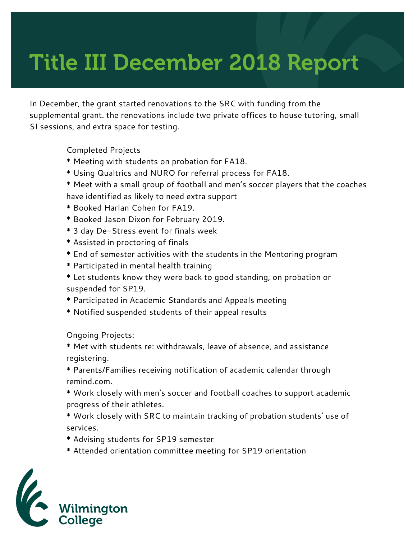## Title III December 2018 Report

In December, the grant started renovations to the SRC with funding from the supplemental grant. the renovations include two private offices to house tutoring, small SI sessions, and extra space for testing.

Completed Projects

- \* Meeting with students on probation for FA18.
- \* Using Qualtrics and NURO for referral process for FA18.
- \* Meet with a small group of football and men's soccer players that the coaches have identified as likely to need extra support
- \* Booked Harlan Cohen for FA19.
- \* Booked Jason Dixon for February 2019.
- \* 3 day De-Stress event for finals week
- \* Assisted in proctoring of finals
- \* End of semester activities with the students in the Mentoring program
- \* Participated in mental health training
- \* Let students know they were back to good standing, on probation or suspended for SP19.
- \* Participated in Academic Standards and Appeals meeting
- \* Notified suspended students of their appeal results

Ongoing Projects:

- \* Met with students re: withdrawals, leave of absence, and assistance registering.
- \* Parents/Families receiving notification of academic calendar through remind.com.
- \* Work closely with men's soccer and football coaches to support academic progress of their athletes.
- \* Work closely with SRC to maintain tracking of probation students' use of services.
- \* Advising students for SP19 semester
- \* Attended orientation committee meeting for SP19 orientation

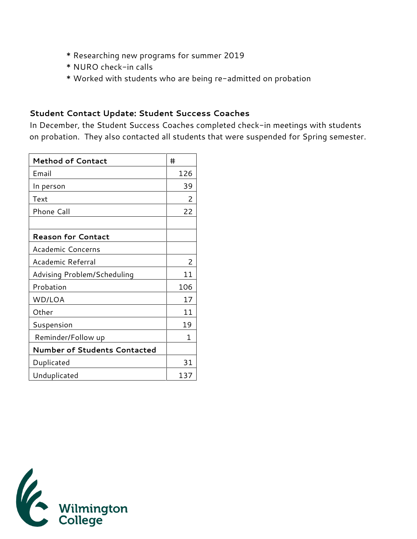- \* Researching new programs for summer 2019
- \* NURO check-in calls
- \* Worked with students who are being re-admitted on probation

## **Student Contact Update: Student Success Coaches**

In December, the Student Success Coaches completed check-in meetings with students on probation. They also contacted all students that were suspended for Spring semester.

| <b>Method of Contact</b>     | #   |
|------------------------------|-----|
| Email                        | 126 |
| In person                    | 39  |
| Text                         | 2   |
| Phone Call                   | 22  |
|                              |     |
| <b>Reason for Contact</b>    |     |
| Academic Concerns            |     |
| Academic Referral            | 2   |
| Advising Problem/Scheduling  | 11  |
| Probation                    | 106 |
| WD/LOA                       | 17  |
| Other                        | 11  |
| Suspension                   | 19  |
| Reminder/Follow up           | 1   |
| Number of Students Contacted |     |
| Duplicated                   | 31  |
| Unduplicated                 | 137 |